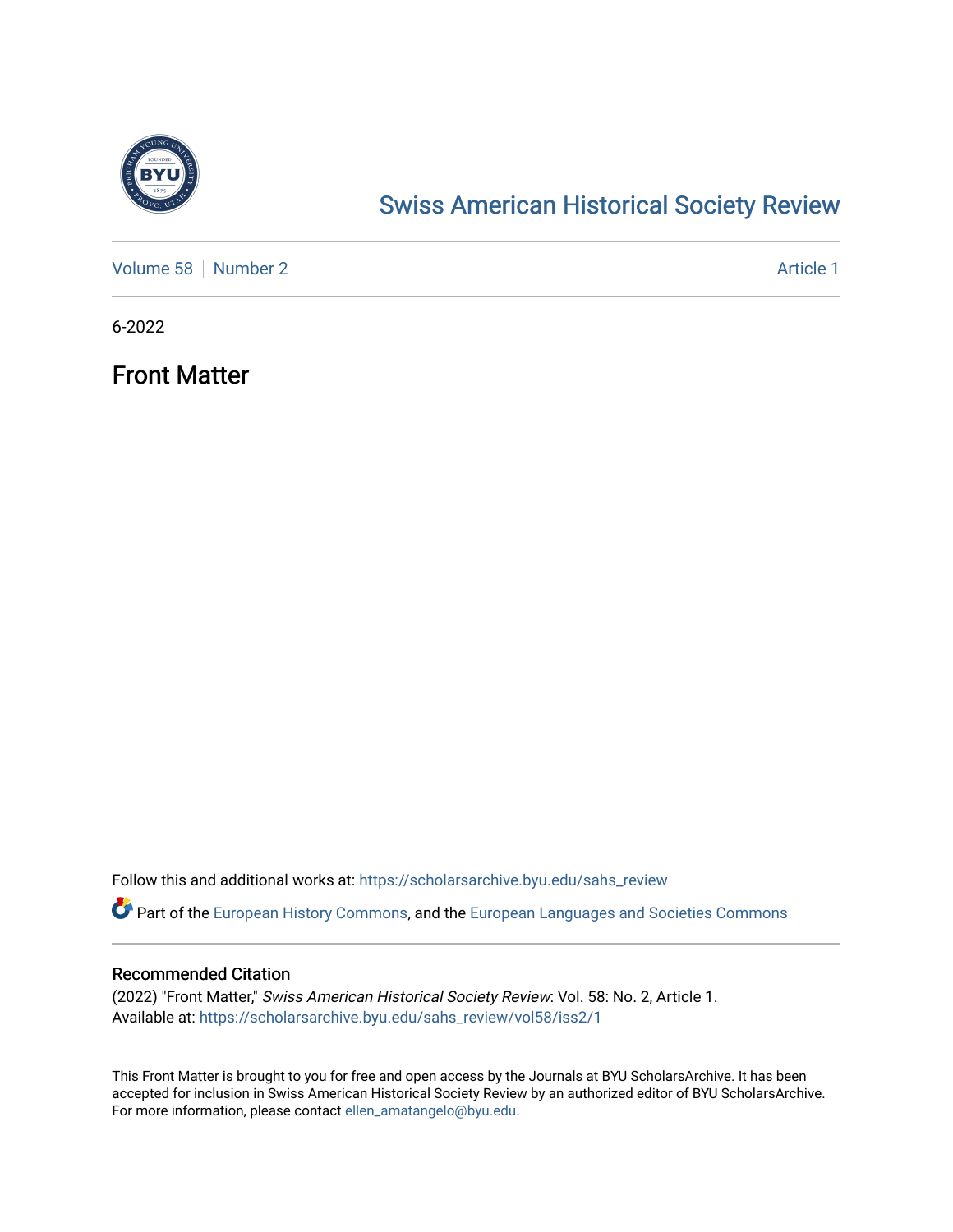

# [Swiss American Historical Society Review](https://scholarsarchive.byu.edu/sahs_review)

[Volume 58](https://scholarsarchive.byu.edu/sahs_review/vol58) [Number 2](https://scholarsarchive.byu.edu/sahs_review/vol58/iss2) Article 1

6-2022

Front Matter

Follow this and additional works at: [https://scholarsarchive.byu.edu/sahs\\_review](https://scholarsarchive.byu.edu/sahs_review?utm_source=scholarsarchive.byu.edu%2Fsahs_review%2Fvol58%2Fiss2%2F1&utm_medium=PDF&utm_campaign=PDFCoverPages)

Part of the [European History Commons](https://network.bepress.com/hgg/discipline/492?utm_source=scholarsarchive.byu.edu%2Fsahs_review%2Fvol58%2Fiss2%2F1&utm_medium=PDF&utm_campaign=PDFCoverPages), and the [European Languages and Societies Commons](https://network.bepress.com/hgg/discipline/482?utm_source=scholarsarchive.byu.edu%2Fsahs_review%2Fvol58%2Fiss2%2F1&utm_medium=PDF&utm_campaign=PDFCoverPages)

## Recommended Citation

(2022) "Front Matter," Swiss American Historical Society Review: Vol. 58: No. 2, Article 1. Available at: [https://scholarsarchive.byu.edu/sahs\\_review/vol58/iss2/1](https://scholarsarchive.byu.edu/sahs_review/vol58/iss2/1?utm_source=scholarsarchive.byu.edu%2Fsahs_review%2Fvol58%2Fiss2%2F1&utm_medium=PDF&utm_campaign=PDFCoverPages) 

This Front Matter is brought to you for free and open access by the Journals at BYU ScholarsArchive. It has been accepted for inclusion in Swiss American Historical Society Review by an authorized editor of BYU ScholarsArchive. For more information, please contact [ellen\\_amatangelo@byu.edu.](mailto:ellen_amatangelo@byu.edu)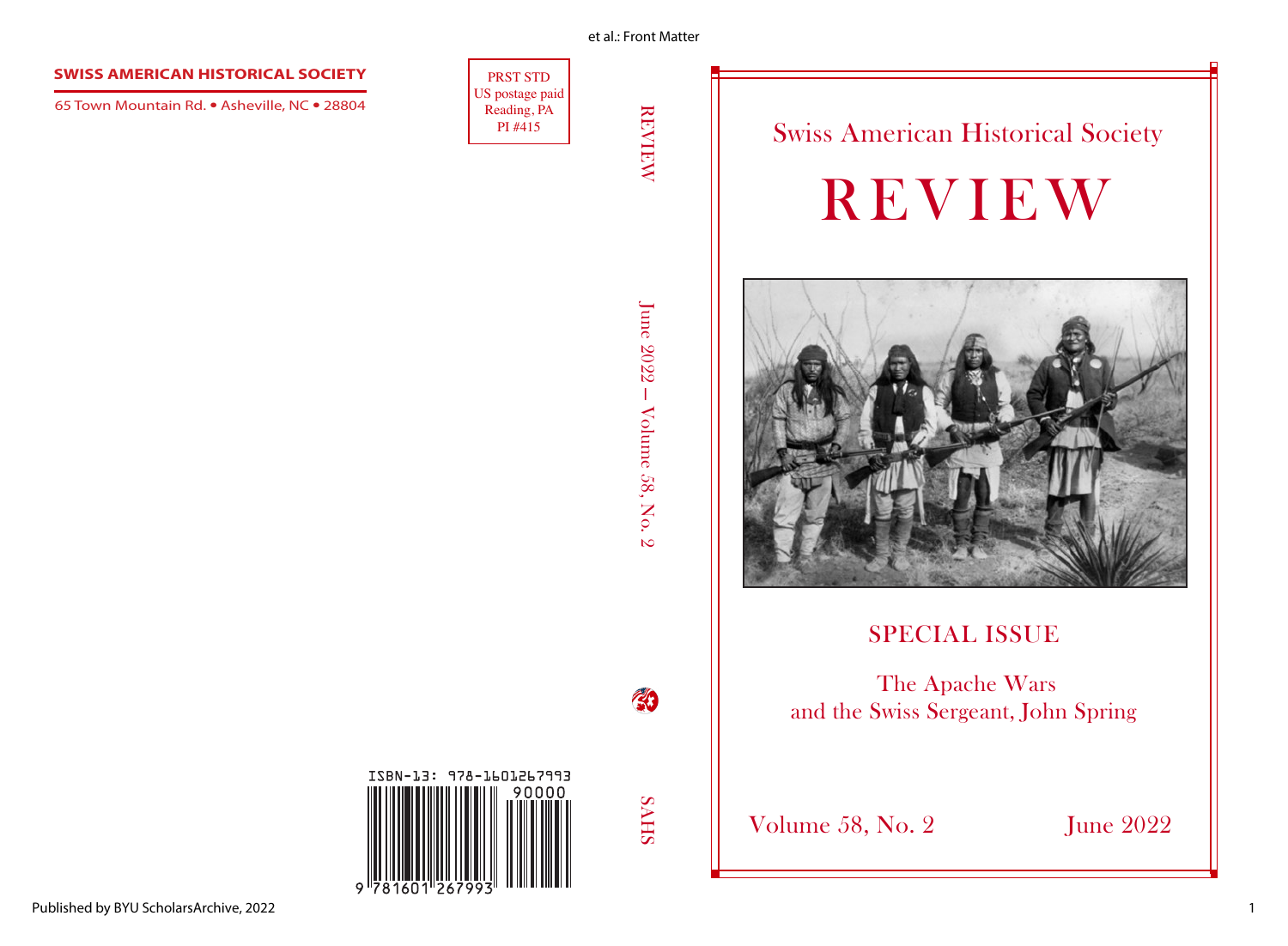#### et al.: Front Matter

### **SWISS AMERICAN HISTORICAL SOCIETY**

65 Town Mountain Rd. **•** Asheville, NC **•** 28804

PRST STD US postage paid Reading, PA<br>PI #415

REVIEW June 2022 — Volume 58, No. 2  $\mathbb{R}^3$ June 2022 – Volume 58, No. 2

 $\begin{array}{c|c|c|c} \mathbf{F}_{\mathbf{S}} & \mathbf{S} & \mathbf{S}_{\mathbf{S}} & \mathbf{S}_{\mathbf{S}} & \mathbf{S}_{\mathbf{S}} & \mathbf{S}_{\mathbf{S}} & \mathbf{S}_{\mathbf{S}} & \mathbf{S}_{\mathbf{S}} & \mathbf{S}_{\mathbf{S}} & \mathbf{S}_{\mathbf{S}} & \mathbf{S}_{\mathbf{S}} & \mathbf{S}_{\mathbf{S}} & \mathbf{S}_{\mathbf{S}} & \mathbf{S}_{\mathbf{S}} & \mathbf{S}_{\mathbf{S}} & \mathbf{S}_{\mathbf{S}} & \mathbf{S$ REVIEW



# SPECIAL ISSUE

 The Apache Wars and the Swiss Sergeant, John Spring

# ISBN-13: 978-1601267993  $\circ$

**SHIPS** 

43

Volume 58, No. 2 June 2022

1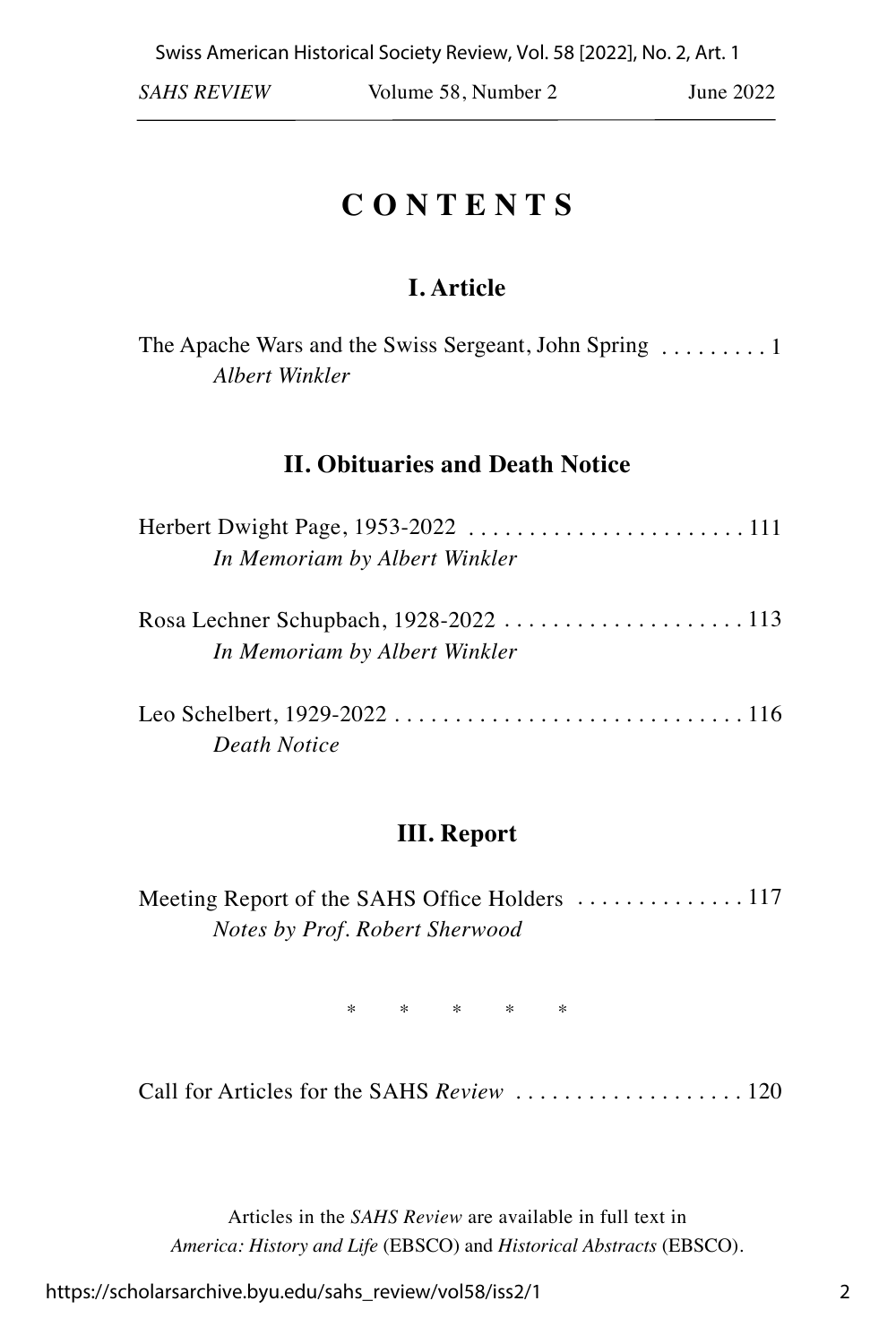# **C O N T E N T S**

# **I. Article**

| The Apache Wars and the Swiss Sergeant, John Spring  1 |  |  |  |
|--------------------------------------------------------|--|--|--|
| Albert Winkler                                         |  |  |  |

## **II. Obituaries and Death Notice**

| In Memoriam by Albert Winkler          |  |
|----------------------------------------|--|
| Rosa Lechner Schupbach, 1928-2022  113 |  |
| In Memoriam by Albert Winkler          |  |
|                                        |  |
| Death Notice                           |  |

## **III. Report**

Meeting Report of the SAHS Office Holders . . . . . . . . . . . . . . 117 *Notes by Prof. Robert Sherwood*

\* \* \* \* \*

Call for Articles for the SAHS *Review* . . . . . . . . . . . . . . . . . . . 120

Articles in the *SAHS Review* are available in full text in *America: History and Life* (EBSCO) and *Historical Abstracts* (EBSCO).

https://scholarsarchive.byu.edu/sahs\_review/vol58/iss2/1